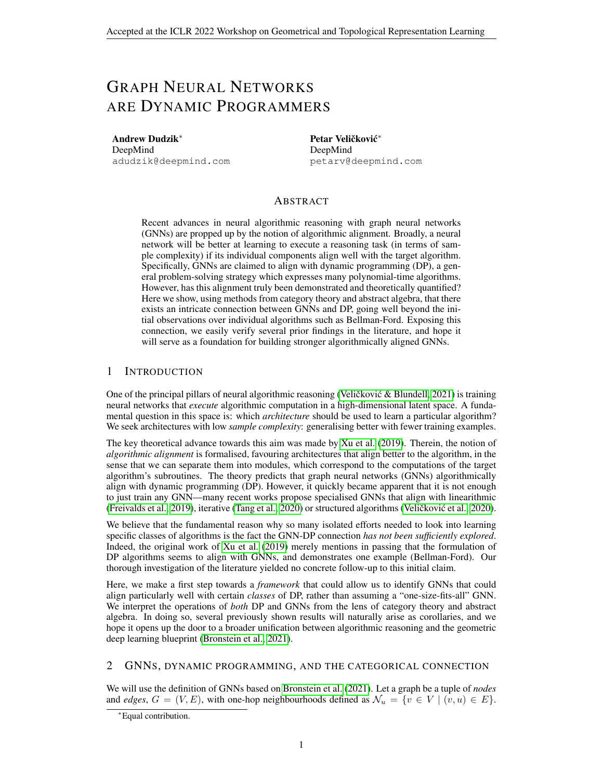# GRAPH NEURAL NETWORKS ARE DYNAMIC PROGRAMMERS

Andrew Dudzik<sup>∗</sup> DeepMind adudzik@deepmind.com

Petar Veličković\* DeepMind petarv@deepmind.com

## ABSTRACT

Recent advances in neural algorithmic reasoning with graph neural networks (GNNs) are propped up by the notion of algorithmic alignment. Broadly, a neural network will be better at learning to execute a reasoning task (in terms of sample complexity) if its individual components align well with the target algorithm. Specifically, GNNs are claimed to align with dynamic programming (DP), a general problem-solving strategy which expresses many polynomial-time algorithms. However, has this alignment truly been demonstrated and theoretically quantified? Here we show, using methods from category theory and abstract algebra, that there exists an intricate connection between GNNs and DP, going well beyond the initial observations over individual algorithms such as Bellman-Ford. Exposing this connection, we easily verify several prior findings in the literature, and hope it will serve as a foundation for building stronger algorithmically aligned GNNs.

## 1 INTRODUCTION

One of the principal pillars of neural algorithmic reasoning (Veličković & Blundell, 2021) is training neural networks that *execute* algorithmic computation in a high-dimensional latent space. A fundamental question in this space is: which *architecture* should be used to learn a particular algorithm? We seek architectures with low *sample complexity*: generalising better with fewer training examples.

The key theoretical advance towards this aim was made by [Xu et al.](#page-4-1) [\(2019\)](#page-4-1). Therein, the notion of *algorithmic alignment* is formalised, favouring architectures that align better to the algorithm, in the sense that we can separate them into modules, which correspond to the computations of the target algorithm's subroutines. The theory predicts that graph neural networks (GNNs) algorithmically align with dynamic programming (DP). However, it quickly became apparent that it is not enough to just train any GNN—many recent works propose specialised GNNs that align with linearithmic [\(Freivalds et al., 2019\)](#page-4-2), iterative [\(Tang et al., 2020\)](#page-4-3) or structured algorithms (Veličković et al., [2020\)](#page-4-4).

We believe that the fundamental reason why so many isolated efforts needed to look into learning specific classes of algorithms is the fact the GNN-DP connection *has not been sufficiently explored*. Indeed, the original work of [Xu et al.](#page-4-1) [\(2019\)](#page-4-1) merely mentions in passing that the formulation of DP algorithms seems to align with GNNs, and demonstrates one example (Bellman-Ford). Our thorough investigation of the literature yielded no concrete follow-up to this initial claim.

Here, we make a first step towards a *framework* that could allow us to identify GNNs that could align particularly well with certain *classes* of DP, rather than assuming a "one-size-fits-all" GNN. We interpret the operations of *both* DP and GNNs from the lens of category theory and abstract algebra. In doing so, several previously shown results will naturally arise as corollaries, and we hope it opens up the door to a broader unification between algorithmic reasoning and the geometric deep learning blueprint [\(Bronstein et al., 2021\)](#page-4-5).

#### 2 GNNS, DYNAMIC PROGRAMMING, AND THE CATEGORICAL CONNECTION

We will use the definition of GNNs based on [Bronstein et al.](#page-4-5) [\(2021\)](#page-4-5). Let a graph be a tuple of *nodes* and *edges*,  $G = (V, E)$ , with one-hop neighbourhoods defined as  $\mathcal{N}_u = \{v \in V \mid (v, u) \in E\}$ .

<sup>∗</sup>Equal contribution.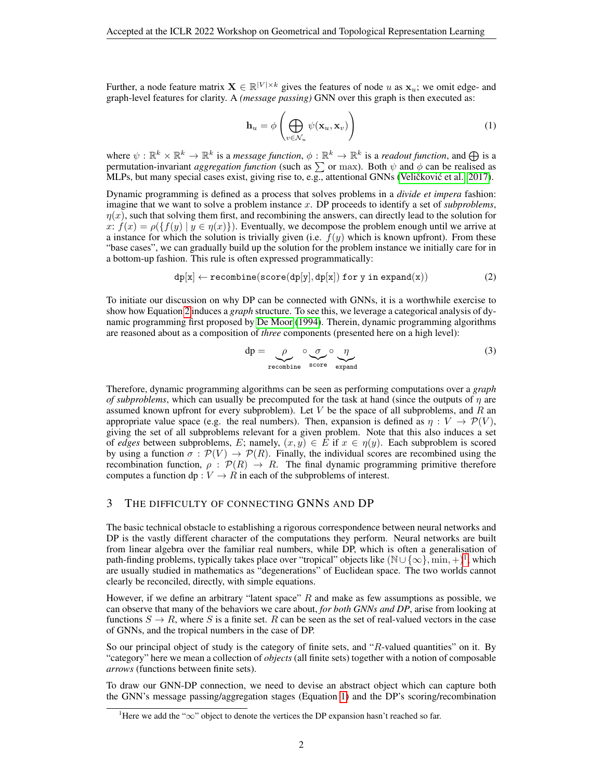Further, a node feature matrix  $\mathbf{X} \in \mathbb{R}^{|V| \times k}$  gives the features of node u as  $\mathbf{x}_u$ ; we omit edge- and graph-level features for clarity. A *(message passing)* GNN over this graph is then executed as:

<span id="page-1-2"></span>
$$
\mathbf{h}_u = \phi \left( \bigoplus_{v \in \mathcal{N}_u} \psi(\mathbf{x}_u, \mathbf{x}_v) \right) \tag{1}
$$

where  $\psi: \mathbb{R}^k \times \mathbb{R}^k \to \mathbb{R}^k$  is a *message function*,  $\phi: \mathbb{R}^k \to \mathbb{R}^k$  is a *readout function*, and  $\bigoplus$  is a permutation-invariant *aggregation function* (such as  $\sum$  or max). Both  $\psi$  and  $\phi$  can be realised as MLPs, but many special cases exist, giving rise to, e.g., attentional GNNs (Veličković et al., [2017\)](#page-4-6).

Dynamic programming is defined as a process that solves problems in a *divide et impera* fashion: imagine that we want to solve a problem instance x. DP proceeds to identify a set of *subproblems*,  $\eta(x)$ , such that solving them first, and recombining the answers, can directly lead to the solution for x:  $f(x) = \rho({f(y) | y \in \eta(x)})$ . Eventually, we decompose the problem enough until we arrive at a instance for which the solution is trivially given (i.e.  $f(y)$  which is known upfront). From these "base cases", we can gradually build up the solution for the problem instance we initially care for in a bottom-up fashion. This rule is often expressed programmatically:

<span id="page-1-0"></span>
$$
dp[x] \leftarrow recombine(score(dp[y], dp[x]) \text{ for } y \text{ in } expand(x))
$$
 (2)

To initiate our discussion on why DP can be connected with GNNs, it is a worthwhile exercise to show how Equation [2](#page-1-0) induces a *graph* structure. To see this, we leverage a categorical analysis of dynamic programming first proposed by [De Moor](#page-4-7) [\(1994\)](#page-4-7). Therein, dynamic programming algorithms are reasoned about as a composition of *three* components (presented here on a high level):

$$
dp = \underbrace{\rho}_{recombine} \underbrace{\sigma}_{score} \underbrace{\eta}_{expand} \tag{3}
$$

Therefore, dynamic programming algorithms can be seen as performing computations over a *graph of subproblems*, which can usually be precomputed for the task at hand (since the outputs of  $\eta$  are assumed known upfront for every subproblem). Let  $V$  be the space of all subproblems, and  $R$  an appropriate value space (e.g. the real numbers). Then, expansion is defined as  $\eta : V \to \mathcal{P}(V)$ , giving the set of all subproblems relevant for a given problem. Note that this also induces a set of *edges* between subproblems, E; namely,  $(x, y) \in E$  if  $x \in \eta(y)$ . Each subproblem is scored by using a function  $\sigma : \mathcal{P}(V) \to \mathcal{P}(R)$ . Finally, the individual scores are recombined using the recombination function,  $\rho : \mathcal{P}(R) \to R$ . The final dynamic programming primitive therefore computes a function dp :  $V \to R$  in each of the subproblems of interest.

## 3 THE DIFFICULTY OF CONNECTING GNNS AND DP

The basic technical obstacle to establishing a rigorous correspondence between neural networks and DP is the vastly different character of the computations they perform. Neural networks are built from linear algebra over the familiar real numbers, while DP, which is often a generalisation of path-finding problems, typically takes place over "tropical" objects like  $(\mathbb{N}\cup\{\infty\},\min,+\}^1$  $(\mathbb{N}\cup\{\infty\},\min,+\}^1$ , which are usually studied in mathematics as "degenerations" of Euclidean space. The two worlds cannot clearly be reconciled, directly, with simple equations.

However, if we define an arbitrary "latent space"  $R$  and make as few assumptions as possible, we can observe that many of the behaviors we care about, *for both GNNs and DP*, arise from looking at functions  $S \to R$ , where S is a finite set. R can be seen as the set of real-valued vectors in the case of GNNs, and the tropical numbers in the case of DP.

So our principal object of study is the category of finite sets, and "R-valued quantities" on it. By "category" here we mean a collection of *objects* (all finite sets) together with a notion of composable *arrows* (functions between finite sets).

To draw our GNN-DP connection, we need to devise an abstract object which can capture both the GNN's message passing/aggregation stages (Equation [1\)](#page-1-2) and the DP's scoring/recombination

<span id="page-1-1"></span><sup>&</sup>lt;sup>1</sup>Here we add the "∞" object to denote the vertices the DP expansion hasn't reached so far.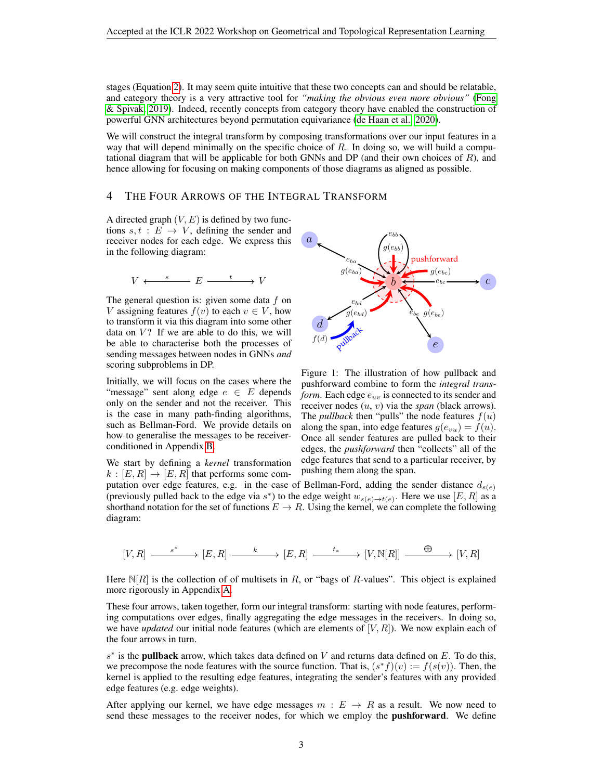stages (Equation [2\)](#page-1-0). It may seem quite intuitive that these two concepts can and should be relatable, and category theory is a very attractive tool for *"making the obvious even more obvious"* [\(Fong](#page-4-8) [& Spivak, 2019\)](#page-4-8). Indeed, recently concepts from category theory have enabled the construction of powerful GNN architectures beyond permutation equivariance [\(de Haan et al., 2020\)](#page-4-9).

We will construct the integral transform by composing transformations over our input features in a way that will depend minimally on the specific choice of  $R$ . In doing so, we will build a computational diagram that will be applicable for both GNNs and DP (and their own choices of  $R$ ), and hence allowing for focusing on making components of those diagrams as aligned as possible.

#### <span id="page-2-0"></span>4 THE FOUR ARROWS OF THE INTEGRAL TRANSFORM

A directed graph  $(V, E)$  is defined by two functions  $s, t : E \rightarrow V$ , defining the sender and receiver nodes for each edge. We express this in the following diagram:

$$
V \xleftarrow{s} E \xrightarrow{t} V
$$

The general question is: given some data  $f$  on V assigning features  $f(v)$  to each  $v \in V$ , how to transform it via this diagram into some other data on  $V$ ? If we are able to do this, we will be able to characterise both the processes of sending messages between nodes in GNNs *and* scoring subproblems in DP.

Initially, we will focus on the cases where the "message" sent along edge  $e \in E$  depends only on the sender and not the receiver. This is the case in many path-finding algorithms, such as Bellman-Ford. We provide details on how to generalise the messages to be receiverconditioned in Appendix [B.](#page-5-0)

We start by defining a *kernel* transformation  $k : [E, R] \rightarrow [E, R]$  that performs some com-



Figure 1: The illustration of how pullback and pushforward combine to form the *integral transform*. Each edge  $e_{uv}$  is connected to its sender and receiver nodes (u, v) via the *span* (black arrows). The *pullback* then "pulls" the node features  $f(u)$ along the span, into edge features  $g(e_{vu}) = f(u)$ . Once all sender features are pulled back to their edges, the *pushforward* then "collects" all of the edge features that send to a particular receiver, by pushing them along the span.

putation over edge features, e.g. in the case of Bellman-Ford, adding the sender distance  $d_{s(e)}$ (previously pulled back to the edge via  $s^*$ ) to the edge weight  $w_{s(e)\to t(e)}$ . Here we use  $[E, R]$  as a shorthand notation for the set of functions  $E \to R$ . Using the kernel, we can complete the following diagram:

$$
[V,R] \xrightarrow{\qquad \ \ s^* \quad} [E,R] \xrightarrow{\qquad \ \ k \quad} [E,R] \xrightarrow{\qquad \ \ t_* \quad} [V,\mathbb{N}[R]] \xrightarrow{\qquad \ \ \, \oplus \quad} [V,R]
$$

Here  $\mathbb{N}[R]$  is the collection of of multisets in R, or "bags of R-values". This object is explained more rigorously in Appendix [A.](#page-5-1)

These four arrows, taken together, form our integral transform: starting with node features, performing computations over edges, finally aggregating the edge messages in the receivers. In doing so, we have *updated* our initial node features (which are elements of  $[V, R]$ ). We now explain each of the four arrows in turn.

 $s^*$  is the **pullback** arrow, which takes data defined on V and returns data defined on E. To do this, we precompose the node features with the source function. That is,  $(s^*f)(v) := f(s(v))$ . Then, the kernel is applied to the resulting edge features, integrating the sender's features with any provided edge features (e.g. edge weights).

After applying our kernel, we have edge messages  $m : E \rightarrow R$  as a result. We now need to send these messages to the receiver nodes, for which we employ the **pushforward**. We define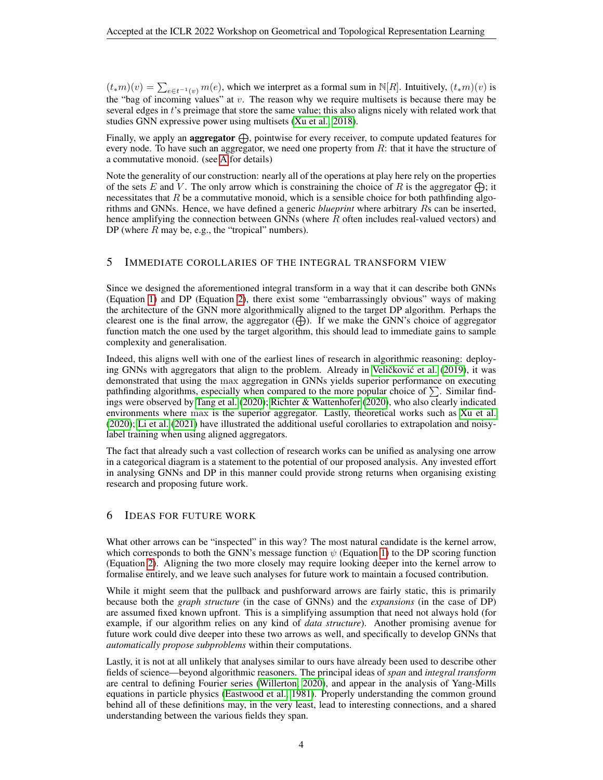$(t_{*}m)(v) = \sum_{e \in t^{-1}(v)} m(e)$ , which we interpret as a formal sum in N[R]. Intuitively,  $(t_{*}m)(v)$  is the "bag of incoming values" at v. The reason why we require multisets is because there may be several edges in t's preimage that store the same value; this also aligns nicely with related work that studies GNN expressive power using multisets [\(Xu et al., 2018\)](#page-4-10).

Finally, we apply an **aggregator**  $\bigoplus$ , pointwise for every receiver, to compute updated features for every node. To have such an aggregator, we need one property from R: that it have the structure of a commutative monoid. (see [A](#page-5-1) for details)

Note the generality of our construction: nearly all of the operations at play here rely on the properties of the sets E and V. The only arrow which is constraining the choice of R is the aggregator  $\bigoplus$ ; it necessitates that  $R$  be a commutative monoid, which is a sensible choice for both pathfinding algorithms and GNNs. Hence, we have defined a generic *blueprint* where arbitrary Rs can be inserted, hence amplifying the connection between GNNs (where R often includes real-valued vectors) and DP (where  $R$  may be, e.g., the "tropical" numbers).

## 5 IMMEDIATE COROLLARIES OF THE INTEGRAL TRANSFORM VIEW

Since we designed the aforementioned integral transform in a way that it can describe both GNNs (Equation [1\)](#page-1-2) and DP (Equation [2\)](#page-1-0), there exist some "embarrassingly obvious" ways of making the architecture of the GNN more algorithmically aligned to the target DP algorithm. Perhaps the clearest one is the final arrow, the aggregator  $(\bigoplus)$ . If we make the GNN's choice of aggregator function match the one used by the target algorithm, this should lead to immediate gains to sample complexity and generalisation.

Indeed, this aligns well with one of the earliest lines of research in algorithmic reasoning: deploy-ing GNNs with aggregators that align to the problem. Already in Veličković et al. [\(2019\)](#page-4-11), it was demonstrated that using the max aggregation in GNNs yields superior performance on executing pathfinding algorithms, especially when compared to the more popular choice of  $\Sigma$ . Similar findings were observed by [Tang et al.](#page-4-3) [\(2020\)](#page-4-3); [Richter & Wattenhofer](#page-4-12) [\(2020\)](#page-4-12), who also clearly indicated environments where max is the superior aggregator. Lastly, theoretical works such as [Xu et al.](#page-4-13) [\(2020\)](#page-4-13); [Li et al.](#page-4-14) [\(2021\)](#page-4-14) have illustrated the additional useful corollaries to extrapolation and noisylabel training when using aligned aggregators.

The fact that already such a vast collection of research works can be unified as analysing one arrow in a categorical diagram is a statement to the potential of our proposed analysis. Any invested effort in analysing GNNs and DP in this manner could provide strong returns when organising existing research and proposing future work.

#### 6 IDEAS FOR FUTURE WORK

What other arrows can be "inspected" in this way? The most natural candidate is the kernel arrow, which corresponds to both the GNN's message function  $\psi$  (Equation [1\)](#page-1-2) to the DP scoring function (Equation [2\)](#page-1-0). Aligning the two more closely may require looking deeper into the kernel arrow to formalise entirely, and we leave such analyses for future work to maintain a focused contribution.

While it might seem that the pullback and pushforward arrows are fairly static, this is primarily because both the *graph structure* (in the case of GNNs) and the *expansions* (in the case of DP) are assumed fixed known upfront. This is a simplifying assumption that need not always hold (for example, if our algorithm relies on any kind of *data structure*). Another promising avenue for future work could dive deeper into these two arrows as well, and specifically to develop GNNs that *automatically propose subproblems* within their computations.

Lastly, it is not at all unlikely that analyses similar to ours have already been used to describe other fields of science—beyond algorithmic reasoners. The principal ideas of *span* and *integral transform* are central to defining Fourier series [\(Willerton, 2020\)](#page-4-15), and appear in the analysis of Yang-Mills equations in particle physics [\(Eastwood et al., 1981\)](#page-4-16). Properly understanding the common ground behind all of these definitions may, in the very least, lead to interesting connections, and a shared understanding between the various fields they span.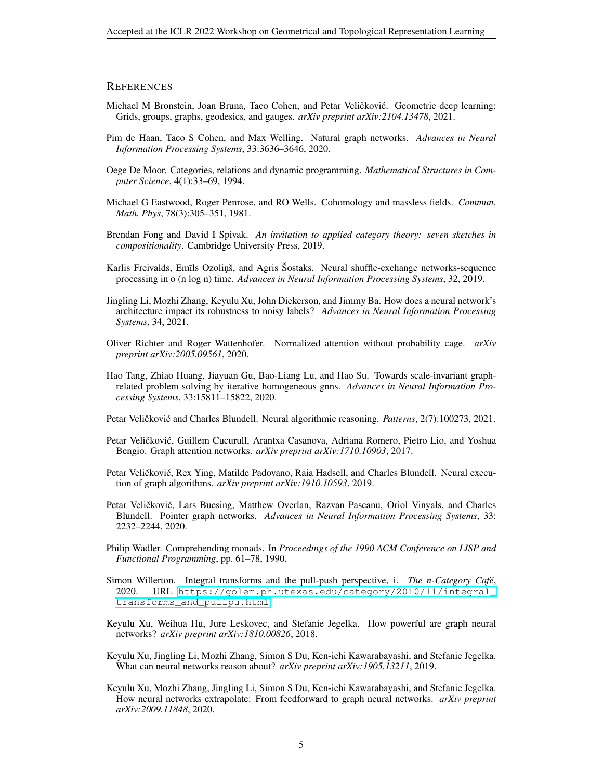#### **REFERENCES**

- <span id="page-4-5"></span>Michael M Bronstein, Joan Bruna, Taco Cohen, and Petar Veličković. Geometric deep learning: Grids, groups, graphs, geodesics, and gauges. *arXiv preprint arXiv:2104.13478*, 2021.
- <span id="page-4-9"></span>Pim de Haan, Taco S Cohen, and Max Welling. Natural graph networks. *Advances in Neural Information Processing Systems*, 33:3636–3646, 2020.
- <span id="page-4-7"></span>Oege De Moor. Categories, relations and dynamic programming. *Mathematical Structures in Computer Science*, 4(1):33–69, 1994.
- <span id="page-4-16"></span>Michael G Eastwood, Roger Penrose, and RO Wells. Cohomology and massless fields. *Commun. Math. Phys*, 78(3):305–351, 1981.
- <span id="page-4-8"></span>Brendan Fong and David I Spivak. *An invitation to applied category theory: seven sketches in compositionality*. Cambridge University Press, 2019.
- <span id="page-4-2"></span>Karlis Freivalds, Emīls Ozoliņš, and Agris Šostaks. Neural shuffle-exchange networks-sequence processing in o (n log n) time. *Advances in Neural Information Processing Systems*, 32, 2019.
- <span id="page-4-14"></span>Jingling Li, Mozhi Zhang, Keyulu Xu, John Dickerson, and Jimmy Ba. How does a neural network's architecture impact its robustness to noisy labels? *Advances in Neural Information Processing Systems*, 34, 2021.
- <span id="page-4-12"></span>Oliver Richter and Roger Wattenhofer. Normalized attention without probability cage. *arXiv preprint arXiv:2005.09561*, 2020.
- <span id="page-4-3"></span>Hao Tang, Zhiao Huang, Jiayuan Gu, Bao-Liang Lu, and Hao Su. Towards scale-invariant graphrelated problem solving by iterative homogeneous gnns. *Advances in Neural Information Processing Systems*, 33:15811–15822, 2020.
- <span id="page-4-0"></span>Petar Veličković and Charles Blundell. Neural algorithmic reasoning. *Patterns*, 2(7):100273, 2021.
- <span id="page-4-6"></span>Petar Veličković, Guillem Cucurull, Arantxa Casanova, Adriana Romero, Pietro Lio, and Yoshua Bengio. Graph attention networks. *arXiv preprint arXiv:1710.10903*, 2017.
- <span id="page-4-11"></span>Petar Veličković, Rex Ying, Matilde Padovano, Raia Hadsell, and Charles Blundell. Neural execution of graph algorithms. *arXiv preprint arXiv:1910.10593*, 2019.
- <span id="page-4-4"></span>Petar Veličković, Lars Buesing, Matthew Overlan, Razvan Pascanu, Oriol Vinyals, and Charles Blundell. Pointer graph networks. *Advances in Neural Information Processing Systems*, 33: 2232–2244, 2020.
- <span id="page-4-17"></span>Philip Wadler. Comprehending monads. In *Proceedings of the 1990 ACM Conference on LISP and Functional Programming*, pp. 61–78, 1990.
- <span id="page-4-15"></span>Simon Willerton. Integral transforms and the pull-push perspective, i. *The n-Category Cafe´*, 2020. URL [https://golem.ph.utexas.edu/category/2010/11/integral\\_](https://golem.ph.utexas.edu/category/2010/11/integral_transforms_and_pullpu.html) [transforms\\_and\\_pullpu.html](https://golem.ph.utexas.edu/category/2010/11/integral_transforms_and_pullpu.html).
- <span id="page-4-10"></span>Keyulu Xu, Weihua Hu, Jure Leskovec, and Stefanie Jegelka. How powerful are graph neural networks? *arXiv preprint arXiv:1810.00826*, 2018.
- <span id="page-4-1"></span>Keyulu Xu, Jingling Li, Mozhi Zhang, Simon S Du, Ken-ichi Kawarabayashi, and Stefanie Jegelka. What can neural networks reason about? *arXiv preprint arXiv:1905.13211*, 2019.
- <span id="page-4-13"></span>Keyulu Xu, Mozhi Zhang, Jingling Li, Simon S Du, Ken-ichi Kawarabayashi, and Stefanie Jegelka. How neural networks extrapolate: From feedforward to graph neural networks. *arXiv preprint arXiv:2009.11848*, 2020.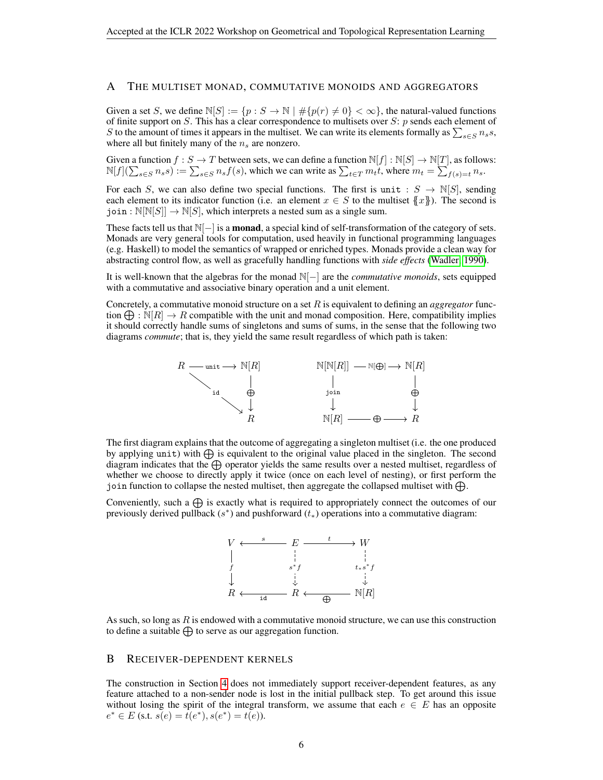#### <span id="page-5-1"></span>A THE MULTISET MONAD, COMMUTATIVE MONOIDS AND AGGREGATORS

Given a set S, we define  $\mathbb{N}[S] := \{p : S \to \mathbb{N} \mid \# \{p(r) \neq 0\} < \infty\}$ , the natural-valued functions of finite support on  $S$ . This has a clear correspondence to multisets over  $S$ : p sends each element of S to the amount of times it appears in the multiset. We can write its elements formally as  $\sum_{s \in S} n_s s$ , where all but finitely many of the  $n<sub>s</sub>$  are nonzero.

Given a function  $f : S \to T$  between sets, we can define a function  $\mathbb{N}[f] : \mathbb{N}[S] \to \mathbb{N}[T]$ , as follows:  $\mathbb{N}[f](\sum_{s \in S} n_s s) := \sum_{s \in S} n_s f(s)$ , which we can write as  $\sum_{t \in T} m_t t$ , where  $m_t = \sum_{f(s)=t} n_s$ .

For each S, we can also define two special functions. The first is unit :  $S \to \mathbb{N}[S]$ , sending each element to its indicator function (i.e. an element  $x \in S$  to the multiset  $\{x\}$ ). The second is join :  $\mathbb{N}[\mathbb{N}[S]] \to \mathbb{N}[S]$ , which interprets a nested sum as a single sum.

These facts tell us that  $\mathbb{N}[-]$  is a **monad**, a special kind of self-transformation of the category of sets. Monads are very general tools for computation, used heavily in functional programming languages (e.g. Haskell) to model the semantics of wrapped or enriched types. Monads provide a clean way for abstracting control flow, as well as gracefully handling functions with *side effects* [\(Wadler, 1990\)](#page-4-17).

It is well-known that the algebras for the monad N[−] are the *commutative monoids*, sets equipped with a commutative and associative binary operation and a unit element.

Concretely, a commutative monoid structure on a set R is equivalent to defining an *aggregator* function  $\bigoplus$ :  $\mathbb{N}[R] \to R$  compatible with the unit and monad composition. Here, compatibility implies it should correctly handle sums of singletons and sums of sums, in the sense that the following two diagrams *commute*; that is, they yield the same result regardless of which path is taken:



The first diagram explains that the outcome of aggregating a singleton multiset (i.e. the one produced by applying unit) with  $\bigoplus$  is equivalent to the original value placed in the singleton. The second diagram indicates that the  $\bigoplus$  operator yields the same results over a nested multiset, regardless of whether we choose to directly apply it twice (once on each level of nesting), or first perform the join function to collapse the nested multiset, then aggregate the collapsed multiset with  $\bigoplus$ .

Conveniently, such a  $\bigoplus$  is exactly what is required to appropriately connect the outcomes of our previously derived pullback  $(s^*)$  and pushforward  $(t_*)$  operations into a commutative diagram:



As such, so long as  $R$  is endowed with a commutative monoid structure, we can use this construction to define a suitable  $\bigoplus$  to serve as our aggregation function.

#### <span id="page-5-0"></span>B RECEIVER-DEPENDENT KERNELS

The construction in Section [4](#page-2-0) does not immediately support receiver-dependent features, as any feature attached to a non-sender node is lost in the initial pullback step. To get around this issue without losing the spirit of the integral transform, we assume that each  $e \in E$  has an opposite  $e^* \in E$  (s.t.  $s(e) = t(e^*), s(e^*) = t(e)$ ).